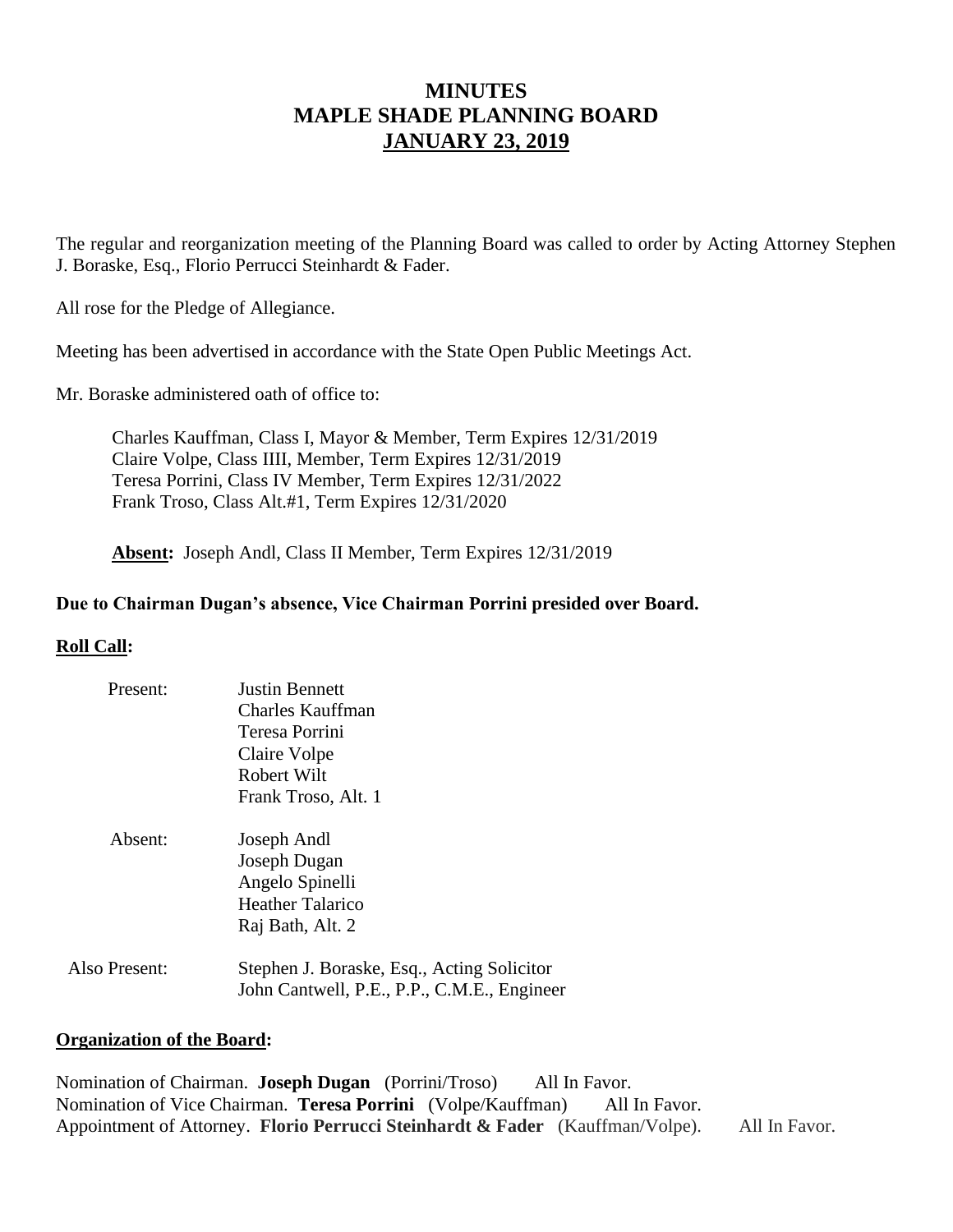# **MINUTES MAPLE SHADE PLANNING BOARD JANUARY 23, 2019**

The regular and reorganization meeting of the Planning Board was called to order by Acting Attorney Stephen J. Boraske, Esq., Florio Perrucci Steinhardt & Fader.

All rose for the Pledge of Allegiance.

Meeting has been advertised in accordance with the State Open Public Meetings Act.

Mr. Boraske administered oath of office to:

Charles Kauffman, Class I, Mayor & Member, Term Expires 12/31/2019 Claire Volpe, Class IIII, Member, Term Expires 12/31/2019 Teresa Porrini, Class IV Member, Term Expires 12/31/2022 Frank Troso, Class Alt.#1, Term Expires 12/31/2020

**Absent:** Joseph Andl, Class II Member, Term Expires 12/31/2019

## **Due to Chairman Dugan's absence, Vice Chairman Porrini presided over Board.**

## **Roll Call:**

| Present:      | Justin Bennett<br>Charles Kauffman<br>Teresa Porrini<br>Claire Volpe<br>Robert Wilt                                  |
|---------------|----------------------------------------------------------------------------------------------------------------------|
| Absent:       | Frank Troso, Alt. 1<br>Joseph Andl<br>Joseph Dugan<br>Angelo Spinelli<br><b>Heather Talarico</b><br>Raj Bath, Alt. 2 |
| Also Present: | Stephen J. Boraske, Esq., Acting Solicitor<br>John Cantwell, P.E., P.P., C.M.E., Engineer                            |

#### **Organization of the Board:**

Nomination of Chairman. **Joseph Dugan** (Porrini/Troso) All In Favor. Nomination of Vice Chairman. **Teresa Porrini** (Volpe/Kauffman) All In Favor. Appointment of Attorney. **Florio Perrucci Steinhardt & Fader** (Kauffman/Volpe). All In Favor.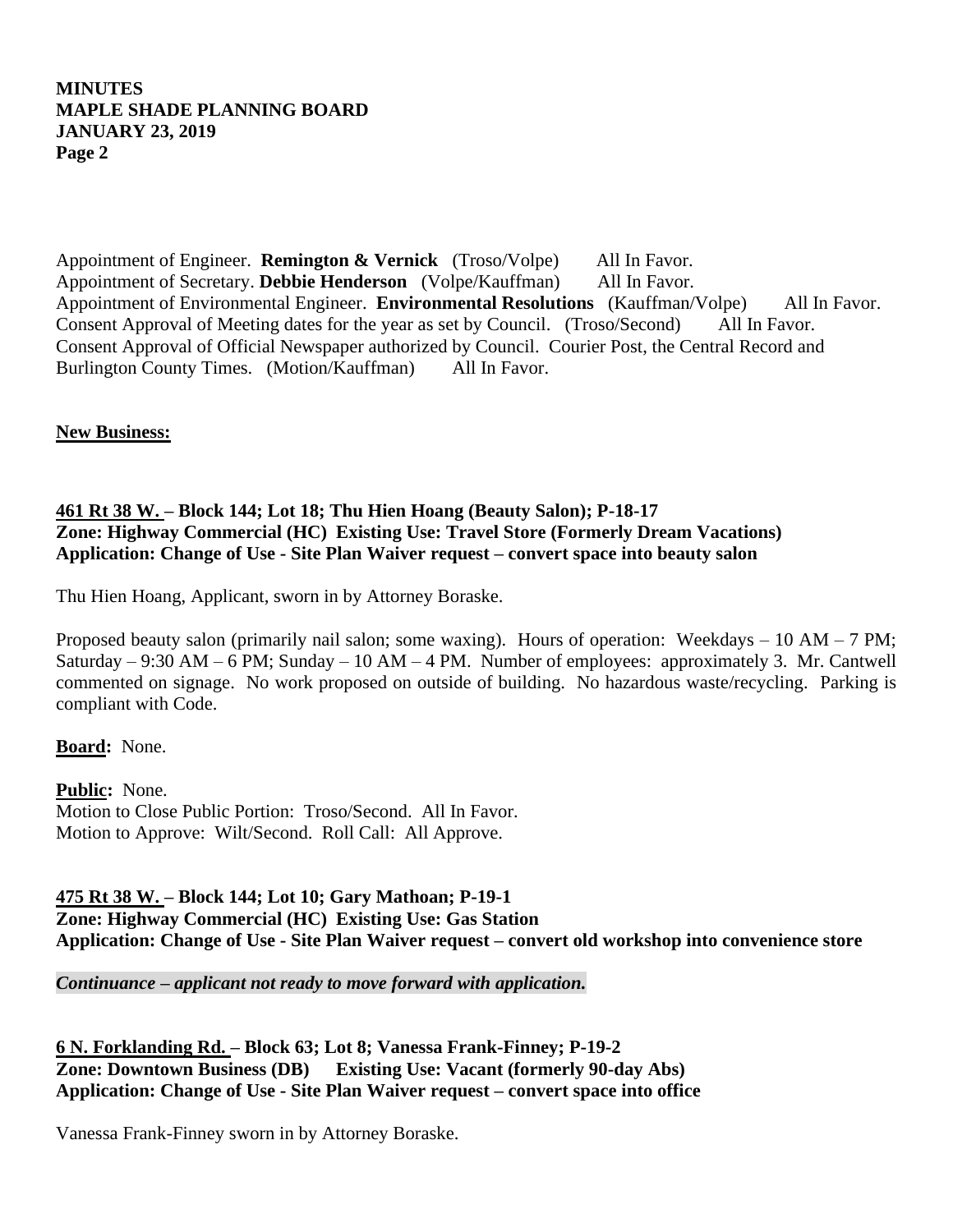# **MINUTES MAPLE SHADE PLANNING BOARD JANUARY 23, 2019 Page 2**

Appointment of Engineer. **Remington & Vernick** (Troso/Volpe) All In Favor. Appointment of Secretary. **Debbie Henderson** (Volpe/Kauffman) All In Favor. Appointment of Environmental Engineer. **Environmental Resolutions** (Kauffman/Volpe) All In Favor. Consent Approval of Meeting dates for the year as set by Council. (Troso/Second) All In Favor. Consent Approval of Official Newspaper authorized by Council. Courier Post, the Central Record and Burlington County Times. (Motion/Kauffman) All In Favor.

**New Business:**

## **461 Rt 38 W. – Block 144; Lot 18; Thu Hien Hoang (Beauty Salon); P-18-17 Zone: Highway Commercial (HC) Existing Use: Travel Store (Formerly Dream Vacations) Application: Change of Use - Site Plan Waiver request – convert space into beauty salon**

Thu Hien Hoang, Applicant, sworn in by Attorney Boraske.

Proposed beauty salon (primarily nail salon; some waxing). Hours of operation: Weekdays – 10 AM – 7 PM; Saturday – 9:30 AM – 6 PM; Sunday – 10 AM – 4 PM. Number of employees: approximately 3. Mr. Cantwell commented on signage. No work proposed on outside of building. No hazardous waste/recycling. Parking is compliant with Code.

**Board:** None.

**Public:** None. Motion to Close Public Portion: Troso/Second. All In Favor. Motion to Approve: Wilt/Second. Roll Call: All Approve.

**475 Rt 38 W. – Block 144; Lot 10; Gary Mathoan; P-19-1 Zone: Highway Commercial (HC) Existing Use: Gas Station Application: Change of Use - Site Plan Waiver request – convert old workshop into convenience store**

*Continuance – applicant not ready to move forward with application.* 

**6 N. Forklanding Rd. – Block 63; Lot 8; Vanessa Frank-Finney; P-19-2 Zone: Downtown Business (DB) Existing Use: Vacant (formerly 90-day Abs) Application: Change of Use - Site Plan Waiver request – convert space into office**

Vanessa Frank-Finney sworn in by Attorney Boraske.